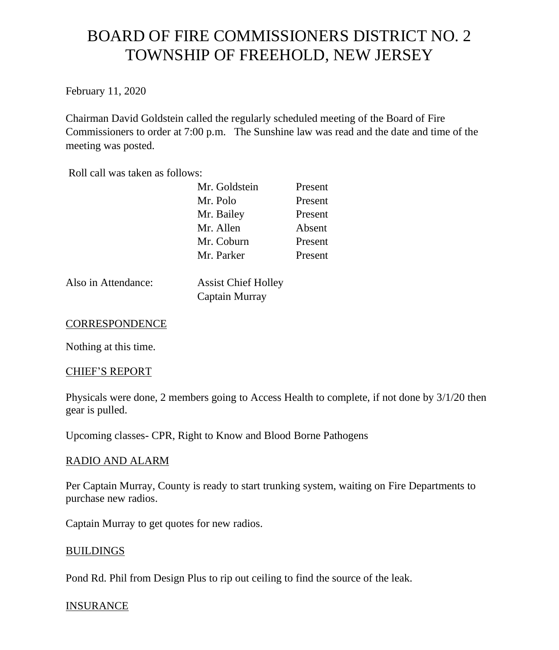# BOARD OF FIRE COMMISSIONERS DISTRICT NO. 2 TOWNSHIP OF FREEHOLD, NEW JERSEY

February 11, 2020

Chairman David Goldstein called the regularly scheduled meeting of the Board of Fire Commissioners to order at 7:00 p.m. The Sunshine law was read and the date and time of the meeting was posted.

Roll call was taken as follows:

| Mr. Goldstein | Present |
|---------------|---------|
| Mr. Polo      | Present |
| Mr. Bailey    | Present |
| Mr. Allen     | Absent  |
| Mr. Coburn    | Present |
| Mr. Parker    | Present |

Also in Attendance: Assist Chief Holley

Captain Murray

## **CORRESPONDENCE**

Nothing at this time.

#### CHIEF'S REPORT

Physicals were done, 2 members going to Access Health to complete, if not done by 3/1/20 then gear is pulled.

Upcoming classes- CPR, Right to Know and Blood Borne Pathogens

#### RADIO AND ALARM

Per Captain Murray, County is ready to start trunking system, waiting on Fire Departments to purchase new radios.

Captain Murray to get quotes for new radios.

#### BUILDINGS

Pond Rd. Phil from Design Plus to rip out ceiling to find the source of the leak.

#### **INSURANCE**